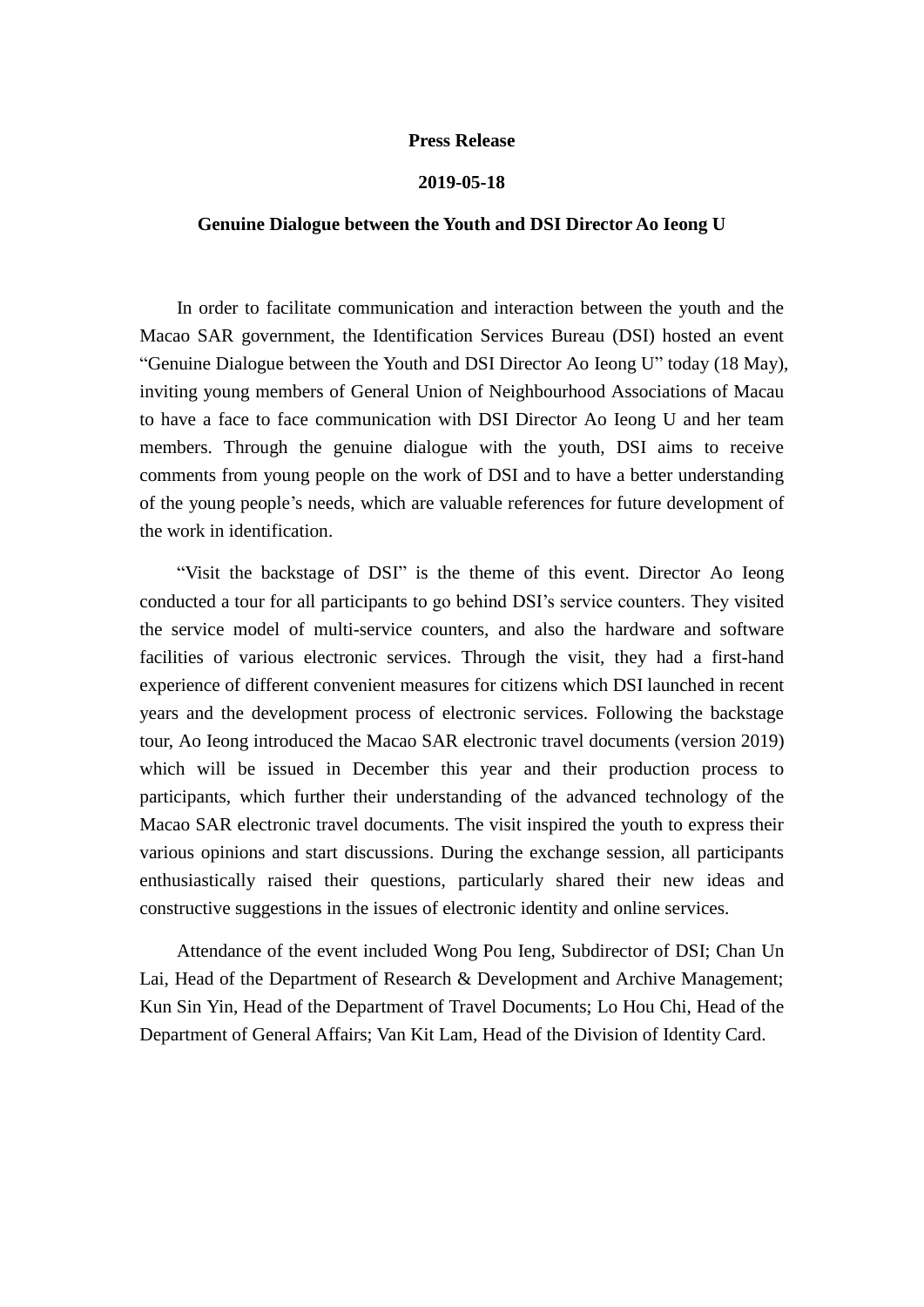## **Press Release**

## **2019-05-18**

## **Genuine Dialogue between the Youth and DSI Director Ao Ieong U**

In order to facilitate communication and interaction between the youth and the Macao SAR government, the Identification Services Bureau (DSI) hosted an event "Genuine Dialogue between the Youth and DSI Director Ao Ieong U" today (18 May), inviting young members of General Union of Neighbourhood Associations of Macau to have a face to face communication with DSI Director Ao Ieong U and her team members. Through the genuine dialogue with the youth, DSI aims to receive comments from young people on the work of DSI and to have a better understanding of the young people's needs, which are valuable references for future development of the work in identification.

"Visit the backstage of DSI" is the theme of this event. Director Ao Ieong conducted a tour for all participants to go behind DSI's service counters. They visited the service model of multi-service counters, and also the hardware and software facilities of various electronic services. Through the visit, they had a first-hand experience of different convenient measures for citizens which DSI launched in recent years and the development process of electronic services. Following the backstage tour, Ao Ieong introduced the Macao SAR electronic travel documents (version 2019) which will be issued in December this year and their production process to participants, which further their understanding of the advanced technology of the Macao SAR electronic travel documents. The visit inspired the youth to express their various opinions and start discussions. During the exchange session, all participants enthusiastically raised their questions, particularly shared their new ideas and constructive suggestions in the issues of electronic identity and online services.

Attendance of the event included Wong Pou Ieng, Subdirector of DSI; Chan Un Lai, Head of the Department of Research & Development and Archive Management; Kun Sin Yin, Head of the Department of Travel Documents; Lo Hou Chi, Head of the Department of General Affairs; Van Kit Lam, Head of the Division of Identity Card.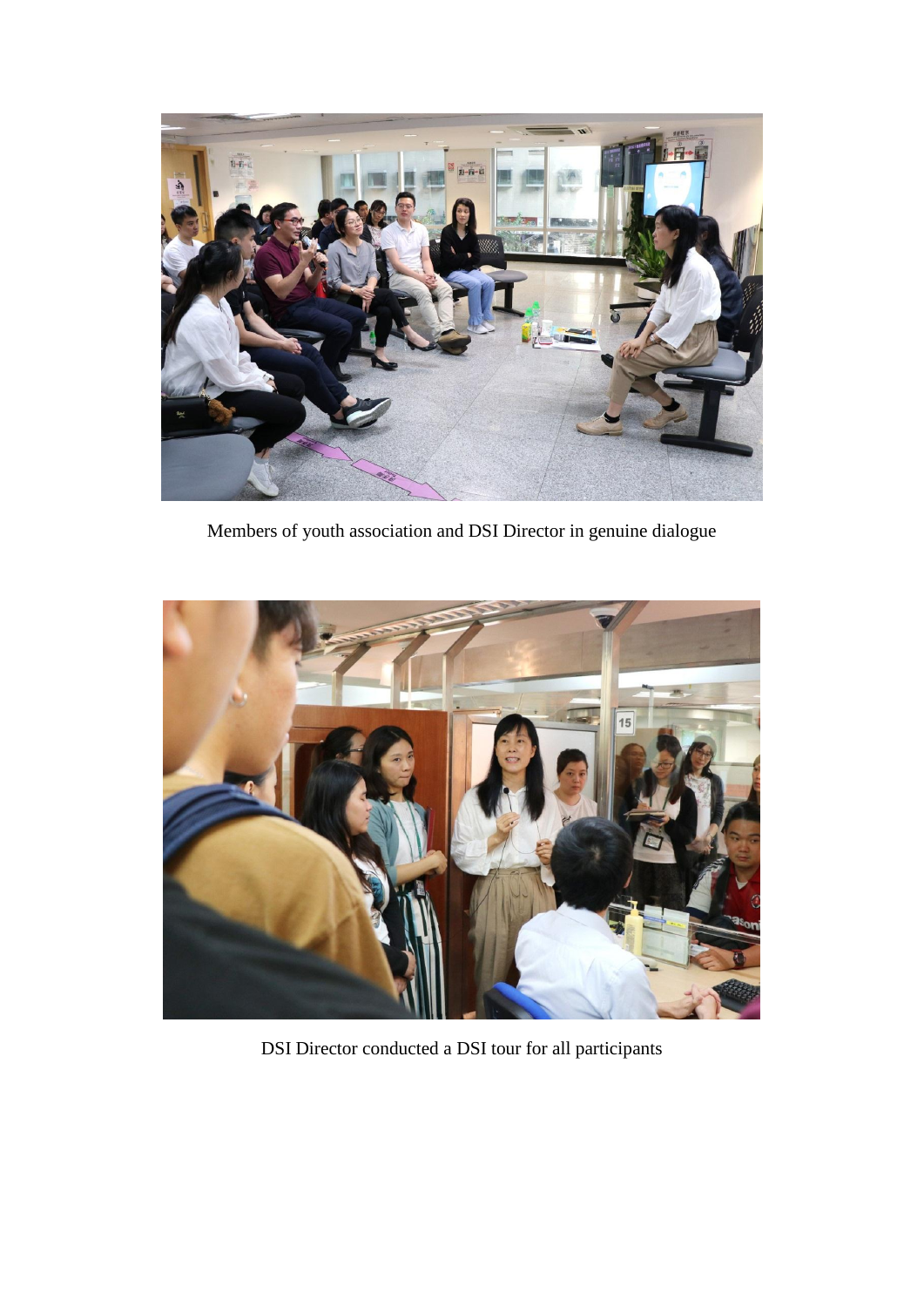

Members of youth association and DSI Director in genuine dialogue



DSI Director conducted a DSI tour for all participants